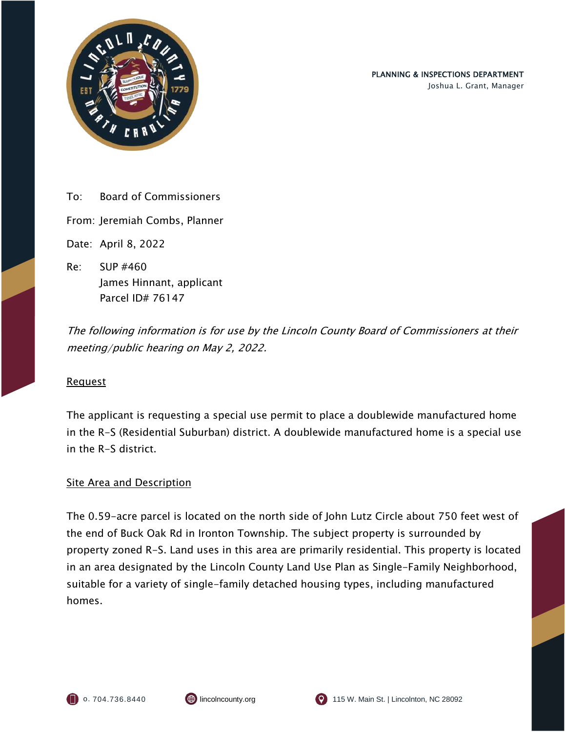

To: Board of Commissioners

From: Jeremiah Combs, Planner

Date: April 8, 2022

Re: SUP #460 James Hinnant, applicant Parcel ID# 76147

The following information is for use by the Lincoln County Board of Commissioners at their meeting/public hearing on May 2, 2022.

## Request

The applicant is requesting a special use permit to place a doublewide manufactured home in the R-S (Residential Suburban) district. A doublewide manufactured home is a special use in the R-S district.

## **Site Area and Description**

The 0.59-acre parcel is located on the north side of John Lutz Circle about 750 feet west of the end of Buck Oak Rd in Ironton Township. The subject property is surrounded by property zoned R-S. Land uses in this area are primarily residential. This property is located in an area designated by the Lincoln County Land Use Plan as Single-Family Neighborhood, suitable for a variety of single-family detached housing types, including manufactured homes.



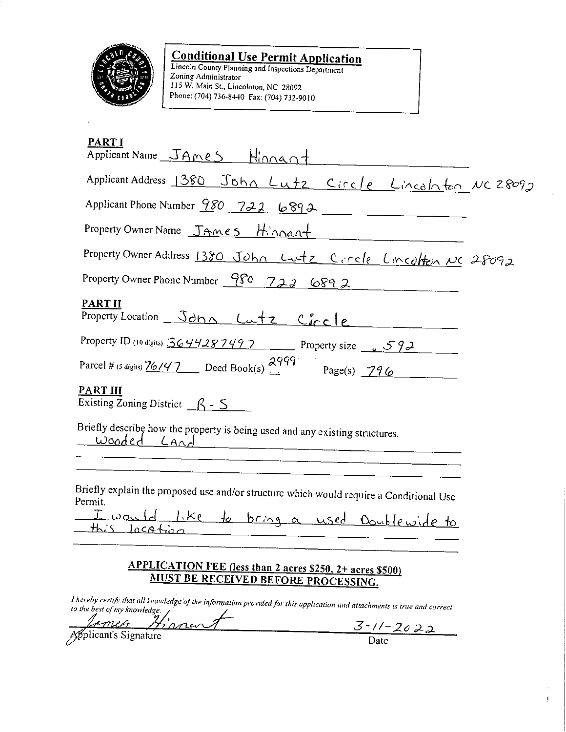

**Conditional Use Permit Application**<br>Lincoln County Planning and Inspections Department<br>Zoning Administrator 115 W. Main St., Lincolnton, NC 28092 Phone: (704) 736-8440 Fax: (704) 732-9010

| <b>PARTI</b><br>Applicant Name JAMES Hinnant                                                                                                             |  |
|----------------------------------------------------------------------------------------------------------------------------------------------------------|--|
| Applicant Address 1380 John Lutz Circle Lincalnton NC 28092                                                                                              |  |
| Applicant Phone Number 980 722 6892                                                                                                                      |  |
| Property Owner Name JAMES Hinnant                                                                                                                        |  |
| Property Owner Address 1380 John Lutz Circle Lincolton NC 28092                                                                                          |  |
| Property Owner Phone Number $\frac{980}{222}$ 689 2                                                                                                      |  |
| <b>PART II</b><br>Property Location Schn Lutz Circle                                                                                                     |  |
| Property ID (10 digits) $3644287497$ Property size $592$                                                                                                 |  |
| Parcel # (5 digits) $\frac{76147}{2}$ Deed Book(s) $\frac{2999}{2}$ Page(s) 796                                                                          |  |
| <b>PART III</b><br>Existing Zoning District $\beta - 5$                                                                                                  |  |
| Briefly describe how the property is being used and any existing structures.<br>wooded Land                                                              |  |
|                                                                                                                                                          |  |
| Briefly explain the proposed use and/or structure which would require a Conditional Use<br>Permit.                                                       |  |
| I would like to bring a used Doublewide to<br>this location                                                                                              |  |
| APPLICATION FEE (less than 2 acres \$250, 2+ acres \$500)<br><b>MUST BE RECEIVED BEFORE PROCESSING.</b>                                                  |  |
| I hereby certify that all knowledge of the information provided for this application and attachments is true and correct<br>to the best of my knowledge. |  |

James Kinner

 $\frac{3 - 17 - 2022}{\text{Date}}$ 

 $\mathbb{R}^2$ 

 $\ddot{\cdot}$  $\mathbf{I}^{\top}$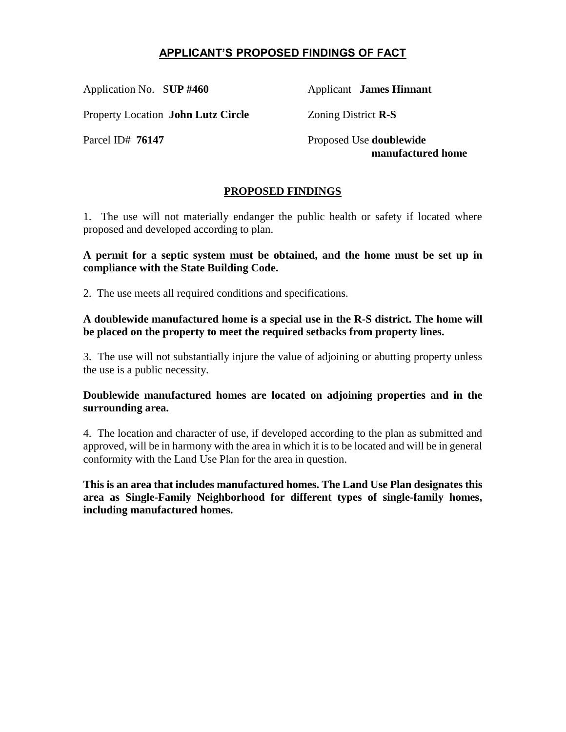# **APPLICANT'S PROPOSED FINDINGS OF FACT**

Application No. S**UP #460** Applicant **James Hinnant**

Property Location **John Lutz Circle** Zoning District **R-S**

Parcel ID# **76147** Proposed Use **doublewide manufactured home**

## **PROPOSED FINDINGS**

1. The use will not materially endanger the public health or safety if located where proposed and developed according to plan.

**A permit for a septic system must be obtained, and the home must be set up in compliance with the State Building Code.**

2. The use meets all required conditions and specifications.

**A doublewide manufactured home is a special use in the R-S district. The home will be placed on the property to meet the required setbacks from property lines.** 

3. The use will not substantially injure the value of adjoining or abutting property unless the use is a public necessity.

**Doublewide manufactured homes are located on adjoining properties and in the surrounding area.**

4. The location and character of use, if developed according to the plan as submitted and approved, will be in harmony with the area in which it is to be located and will be in general conformity with the Land Use Plan for the area in question.

**This is an area that includes manufactured homes. The Land Use Plan designates this area as Single-Family Neighborhood for different types of single-family homes, including manufactured homes.**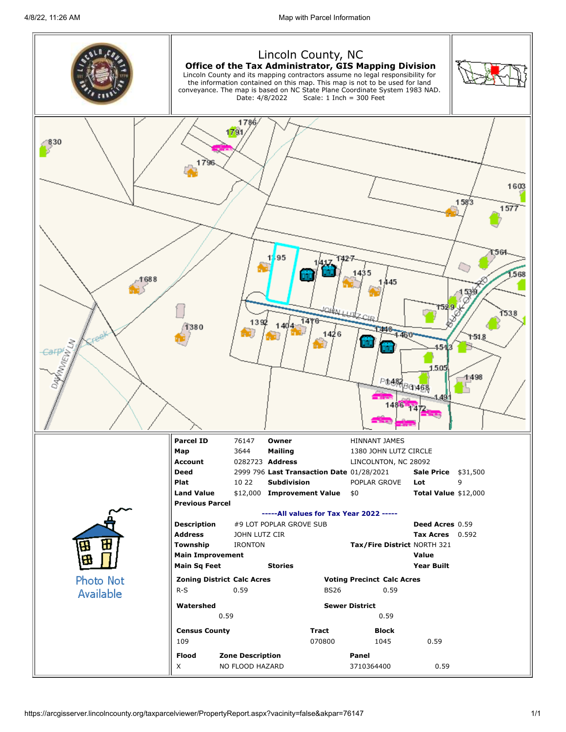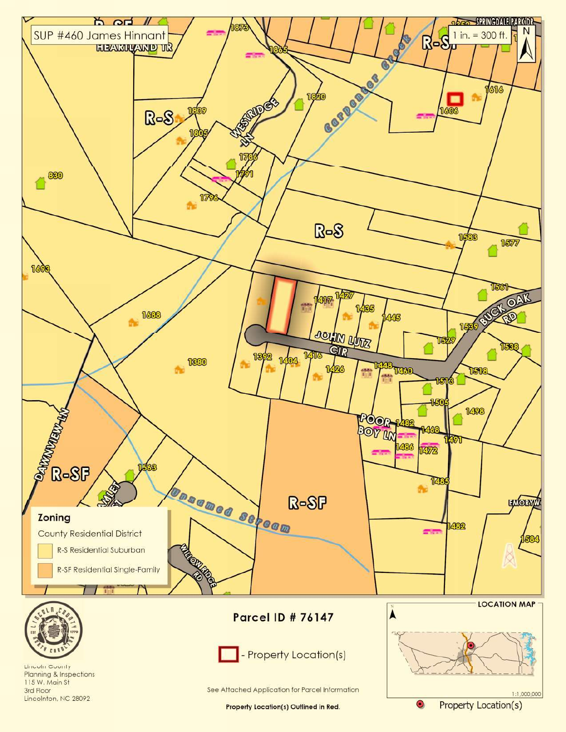